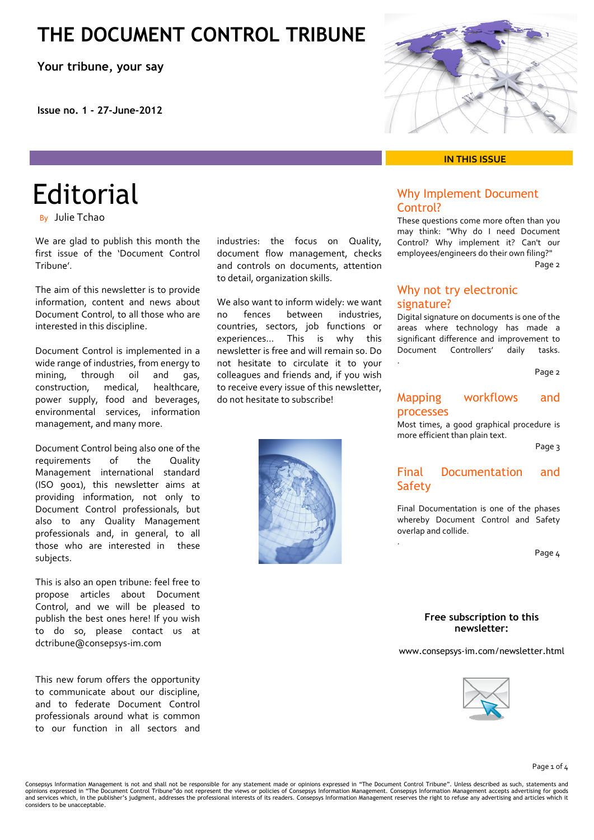### **THE DOCUMENT CONTROL TRIBUNE**

**Your tribune, your say**

**Issue no. 1 - 27-June-2012** 

#### **IN THIS ISSUE**

### Why Implement Document Control?

These questions come more often than you may think: "Why do I need Document Control? Why implement it? Can't our employees/engineers do their own filing?" Page 2

### Why not try electronic signature?

.

.

Digital signature on documents is one of the areas where technology has made a significant difference and improvement to Document Controllers' daily tasks.

Page 2

### Mapping workflows and processes

Most times, a good graphical procedure is more efficient than plain text.

Page 3

### Final Documentation and **Safety**

Final Documentation is one of the phases whereby Document Control and Safety overlap and collide.

Page 4

#### **Free subscription to this newsletter:**

www.consepsys-im.com/newsletter.html



#### Page 1 of 4

Consepsys Information Management is not and shall not be responsible for any statement made or opinions expressed in "The Document Control Tribune". Unless described as such, statements and opinions expressed in "The Document Control Tribune"do not represent the views or policies of Consepsys Information Management. Consepsys Information Management accepts advertising for goods<br>and services which, in the publ considers to be unacceptable.

**Editorial** By Julie Tchao

We are glad to publish this month the first issue of the 'Document Control Tribune'.

The aim of this newsletter is to provide information, content and news about Document Control, to all those who are interested in this discipline.

Document Control is implemented in a wide range of industries, from energy to mining, through oil and gas, construction, medical, healthcare, power supply, food and beverages, environmental services, information management, and many more.

Document Control being also one of the requirements of the Quality Management international standard (ISO 9001), this newsletter aims at providing information, not only to Document Control professionals, but also to any Quality Management professionals and, in general, to all those who are interested in these subjects.

This is also an open tribune: feel free to propose articles about Document Control, and we will be pleased to publish the best ones here! If you wish to do so, please contact us at dctribune@consepsys‐im.com

This new forum offers the opportunity to communicate about our discipline, and to federate Document Control professionals around what is common to our function in all sectors and



industries: the focus on Quality, document flow management, checks and controls on documents, attention

We also want to inform widely: we want no fences between industries, countries, sectors, job functions or experiences… This is why this newsletter is free and will remain so. Do not hesitate to circulate it to your colleagues and friends and, if you wish to receive every issue of this newsletter,

to detail, organization skills.

do not hesitate to subscribe!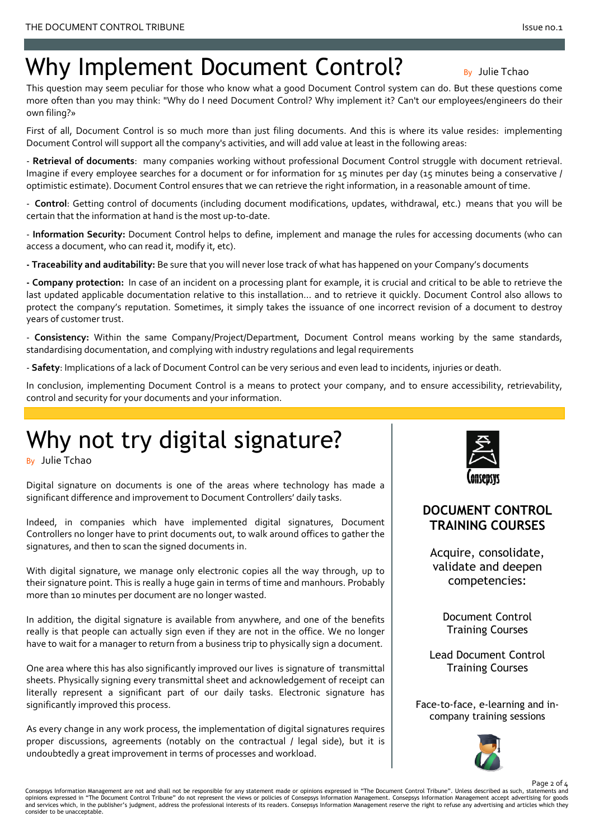# Why Implement Document Control? By Julie Tchao

 own filing?» This question may seem peculiar for those who know what a good Document Control system can do. But these questions come more often than you may think: "Why do I need Document Control? Why implement it? Can't our employees/engineers do their

First of all, Document Control is so much more than just filing documents. And this is where its value resides: implementing Document Control will support all the company's activities, and will add value at least in the following areas:

‐ **Retrieval of documents**: many companies working without professional Document Control struggle with document retrieval. Imagine if every employee searches for a document or for information for 15 minutes per day (15 minutes being a conservative / optimistic estimate). Document Control ensures that we can retrieve the right information, in a reasonable amount of time.

‐ **Control**: Getting control of documents (including document modifications, updates, withdrawal, etc.) means that you will be certain that the information at hand is the most up‐to‐date.

‐ **Information Security:** Document Control helps to define, implement and manage the rules for accessing documents (who can access a document, who can read it, modify it, etc).

**‐ Traceability and auditability:** Be sure that you will never lose track of what has happened on your Company's documents

**‐ Company protection:** In case of an incident on a processing plant for example, it is crucial and critical to be able to retrieve the last updated applicable documentation relative to this installation... and to retrieve it quickly. Document Control also allows to protect the company's reputation. Sometimes, it simply takes the issuance of one incorrect revision of a document to destroy years of customer trust.

‐ **Consistency:** Within the same Company/Project/Department, Document Control means working by the same standards, standardising documentation, and complying with industry regulations and legal requirements

‐ **Safety**: Implications of a lack of Document Control can be very serious and even lead to incidents, injuries or death.

In conclusion, implementing Document Control is a means to protect your company, and to ensure accessibility, retrievability, control and security for your documents and your information.

# Why not try digital signature?

By Julie Tchao

Digital signature on documents is one of the areas where technology has made a significant difference and improvement to Document Controllers' daily tasks.

Indeed, in companies which have implemented digital signatures, Document Controllers no longer have to print documents out, to walk around offices to gather the signatures, and then to scan the signed documents in.

With digital signature, we manage only electronic copies all the way through, up to their signature point. This is really a huge gain in terms of time and manhours. Probably more than 10 minutes per document are no longer wasted.

In addition, the digital signature is available from anywhere, and one of the benefits really is that people can actually sign even if they are not in the office. We no longer have to wait for a manager to return from a business trip to physically sign a document.

One area where this has also significantly improved our lives is signature of transmittal sheets. Physically signing every transmittal sheet and acknowledgement of receipt can literally represent a significant part of our daily tasks. Electronic signature has significantly improved this process.

As every change in any work process, the implementation of digital signatures requires proper discussions, agreements (notably on the contractual / legal side), but it is undoubtedly a great improvement in terms of processes and workload.



### **DOCUMENT CONTROL TRAINING COURSES**

Acquire, consolidate, validate and deepen competencies:

> Document Control Training Courses

Lead Document Control Training Courses

Face-to-face, e-learning and incompany training sessions



Page 2 of 4

Consepsys Information Management are not and shall not be responsible for any statement made or opinions expressed in "The Document Control Tribune". Unless described as such, statements and<br>opinions expressed in "The Docu and services which, in the publisher's judgment, address the professional interests of its readers. Consepsys Information Management reserve the right to refuse any advertising and articles which they consider to be unacceptable.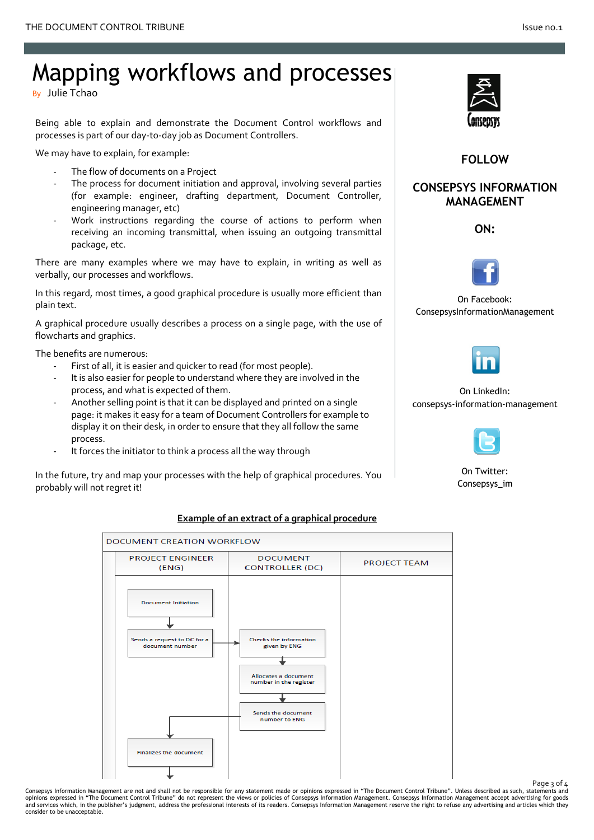# Mapping workflows and processes

By Julie Tchao

Being able to explain and demonstrate the Document Control workflows and processes is part of our day‐to‐day job as Document Controllers.

We may have to explain, for example:

- The flow of documents on a Project
- The process for document initiation and approval, involving several parties (for example: engineer, drafting department, Document Controller, engineering manager, etc)
- ‐ Work instructions regarding the course of actions to perform when receiving an incoming transmittal, when issuing an outgoing transmittal package, etc.

There are many examples where we may have to explain, in writing as well as verbally, our processes and workflows.

In this regard, most times, a good graphical procedure is usually more efficient than plain text.

A graphical procedure usually describes a process on a single page, with the use of flowcharts and graphics.

The benefits are numerous:

- First of all, it is easier and quicker to read (for most people).
- It is also easier for people to understand where they are involved in the process, and what is expected of them.
- Another selling point is that it can be displayed and printed on a single page: it makes it easy for a team of Document Controllers for example to display it on their desk, in order to ensure that they all follow the same process.
- It forces the initiator to think a process all the way through

In the future, try and map your processes with the help of graphical procedures. You probably will not regret it!



**FOLLOW**

### **CONSEPSYS INFORMATION MANAGEMENT**

**ON:** 



On Facebook: [ConsepsysInformationManagement](http://www.facebook.com/ConsepsysInformationManagement) 



On LinkedIn: [consepsys-information-management](http://www.linkedin.com/company/consepsys-information-management)



On Twitter: [Consepsys\\_im](https://twitter.com/#!/Consepsys_IM)



#### **Example of an extract of a graphical procedure**

Page 3 of 4 Consepsys Information Management are not and shall not be responsible for any statement made or opinions expressed in "The Document Control Tribune". Unless described as such, statements and<br>opinions expressed in "The Docu and services which, in the publisher's judgment, address the professional interests of its readers. Consepsys Information Management reserve the right to refuse any advertising and articles which they consider to be unacceptable.